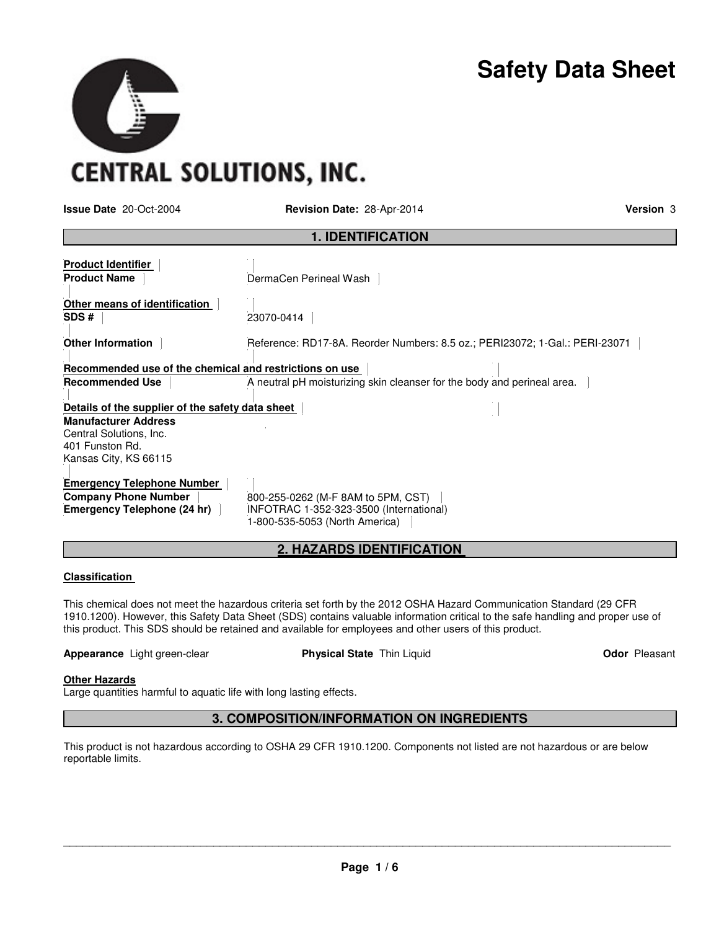

**CENTRAL SOLUTIONS, INC.** 

**Issue Date** 20-Oct-2004 **Revision Date:** 28-Apr-2014 **Version** 3

| <b>1. IDENTIFICATION</b>                                                                           |                                                                                                                 |  |  |
|----------------------------------------------------------------------------------------------------|-----------------------------------------------------------------------------------------------------------------|--|--|
| <b>Product Identifier</b><br><b>Product Name</b>                                                   | DermaCen Perineal Wash                                                                                          |  |  |
| Other means of identification<br>SDS#                                                              | 23070-0414                                                                                                      |  |  |
| <b>Other Information</b>                                                                           | Reference: RD17-8A. Reorder Numbers: 8.5 oz.; PERI23072; 1-Gal.: PERI-23071                                     |  |  |
| Recommended use of the chemical and restrictions on use                                            |                                                                                                                 |  |  |
| <b>Recommended Use</b>                                                                             | A neutral pH moisturizing skin cleanser for the body and perineal area.                                         |  |  |
| Details of the supplier of the safety data sheet                                                   |                                                                                                                 |  |  |
| <b>Manufacturer Address</b><br>Central Solutions, Inc.<br>401 Funston Rd.<br>Kansas City, KS 66115 |                                                                                                                 |  |  |
| <b>Emergency Telephone Number</b><br><b>Company Phone Number</b><br>Emergency Telephone (24 hr)    | 800-255-0262 (M-F 8AM to 5PM, CST)<br>INFOTRAC 1-352-323-3500 (International)<br>1-800-535-5053 (North America) |  |  |

## **2. HAZARDS IDENTIFICATION**

## **Classification**

This chemical does not meet the hazardous criteria set forth by the 2012 OSHA Hazard Communication Standard (29 CFR 1910.1200). However, this Safety Data Sheet (SDS) contains valuable information critical to the safe handling and proper use of this product. This SDS should be retained and available for employees and other users of this product.

**Appearance** Light green-clear **Physical State Thin Liquid <b>Concept** Concept Cleasant

## **Other Hazards**

Large quantities harmful to aquatic life with long lasting effects.

## **3. COMPOSITION/INFORMATION ON INGREDIENTS**

This product is not hazardous according to OSHA 29 CFR 1910.1200. Components not listed are not hazardous or are below reportable limits.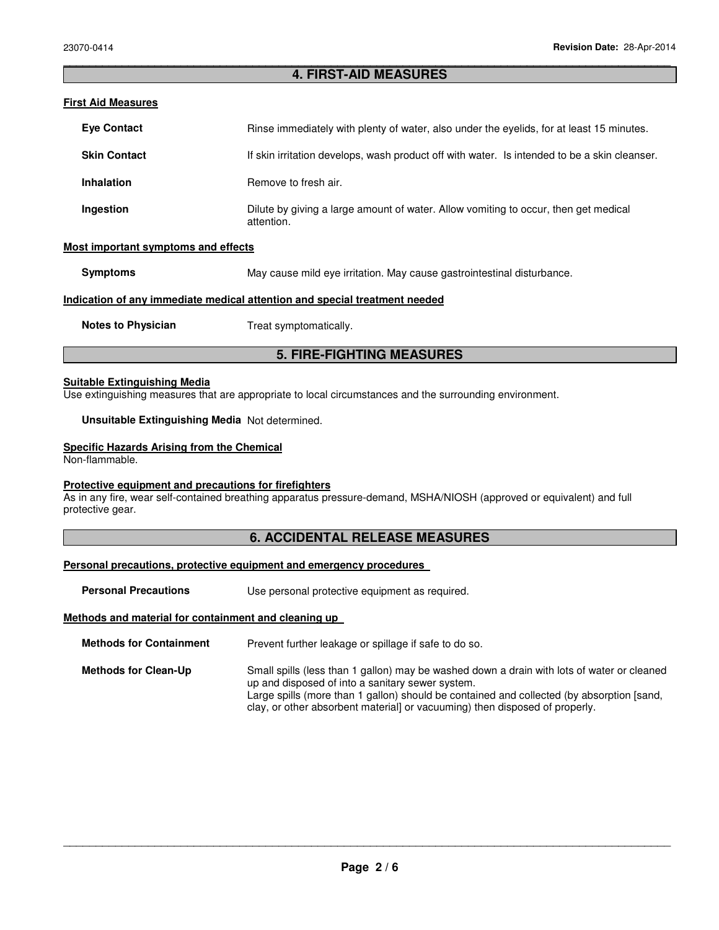## \_\_\_\_\_\_\_\_\_\_\_\_\_\_\_\_\_\_\_\_\_\_\_\_\_\_\_\_\_\_\_\_\_\_\_\_\_\_\_\_\_\_\_\_\_\_\_\_\_\_\_\_\_\_\_\_\_\_\_\_\_\_\_\_\_\_\_\_\_\_\_\_\_\_\_\_\_\_\_\_\_\_\_\_\_\_\_\_\_\_\_\_\_ **4. FIRST-AID MEASURES**

## **First Aid Measures**

| <b>Eve Contact</b>  | Rinse immediately with plenty of water, also under the eyelids, for at least 15 minutes.          |
|---------------------|---------------------------------------------------------------------------------------------------|
| <b>Skin Contact</b> | If skin irritation develops, wash product off with water. Is intended to be a skin cleanser.      |
| <b>Inhalation</b>   | Remove to fresh air.                                                                              |
| Ingestion           | Dilute by giving a large amount of water. Allow vomiting to occur, then get medical<br>attention. |

## **Most important symptoms and effects**

**Symptoms May cause mild eye irritation. May cause gastrointestinal disturbance.** 

## **Indication of any immediate medical attention and special treatment needed**

**Notes to Physician Treat symptomatically.** 

## **5. FIRE-FIGHTING MEASURES**

#### **Suitable Extinguishing Media**

Use extinguishing measures that are appropriate to local circumstances and the surrounding environment.

## **Unsuitable Extinguishing Media** Not determined.

## **Specific Hazards Arising from the Chemical**

Non-flammable.

## **Protective equipment and precautions for firefighters**

As in any fire, wear self-contained breathing apparatus pressure-demand, MSHA/NIOSH (approved or equivalent) and full protective gear.

## **6. ACCIDENTAL RELEASE MEASURES**

## **Personal precautions, protective equipment and emergency procedures**

**Personal Precautions Use personal protective equipment as required.** 

## **Methods and material for containment and cleaning up**

**Methods for Containment** Prevent further leakage or spillage if safe to do so.

**Methods for Clean-Up** Small spills (less than 1 gallon) may be washed down a drain with lots of water or cleaned up and disposed of into a sanitary sewer system. Large spills (more than 1 gallon) should be contained and collected (by absorption [sand, clay, or other absorbent material] or vacuuming) then disposed of properly.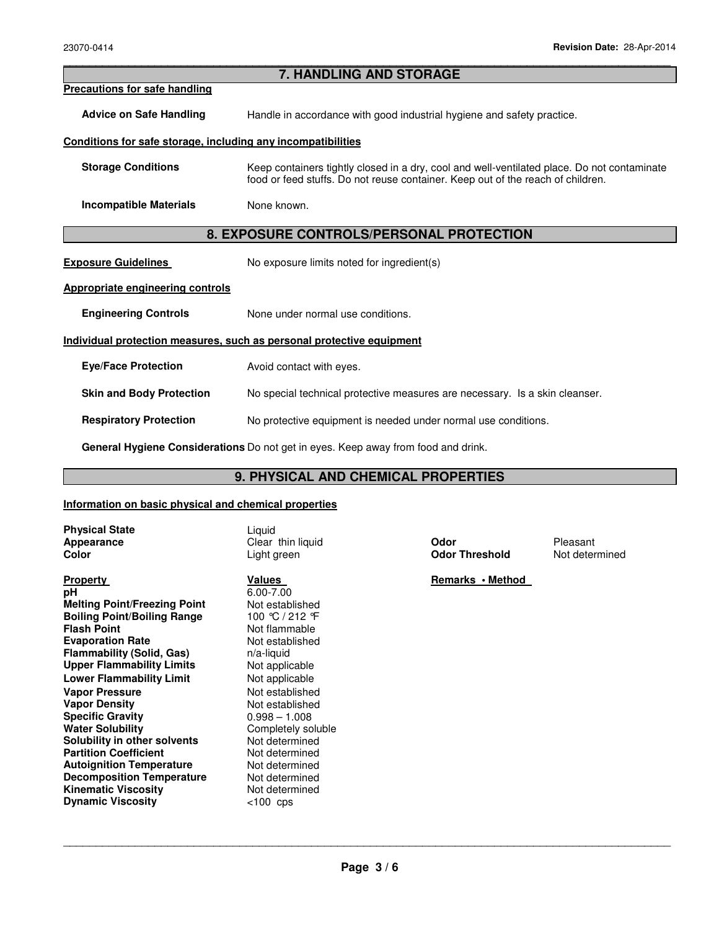# **7. HANDLING AND STORAGE Precautions for safe handling Advice on Safe Handling** Handle in accordance with good industrial hygiene and safety practice. **Conditions for safe storage, including any incompatibilities Storage Conditions** Keep containers tightly closed in a dry, cool and well-ventilated place. Do not contaminate food or feed stuffs. Do not reuse container. Keep out of the reach of children. **Incompatible Materials** None known. **8. EXPOSURE CONTROLS/PERSONAL PROTECTION Exposure Guidelines** No exposure limits noted for ingredient(s) **Appropriate engineering controls Engineering Controls None under normal use conditions. Individual protection measures, such as personal protective equipment Eye/Face Protection** Avoid contact with eyes. **Skin and Body Protection** No special technical protective measures are necessary. Is a skin cleanser. **Respiratory Protection** No protective equipment is needed under normal use conditions.

\_\_\_\_\_\_\_\_\_\_\_\_\_\_\_\_\_\_\_\_\_\_\_\_\_\_\_\_\_\_\_\_\_\_\_\_\_\_\_\_\_\_\_\_\_\_\_\_\_\_\_\_\_\_\_\_\_\_\_\_\_\_\_\_\_\_\_\_\_\_\_\_\_\_\_\_\_\_\_\_\_\_\_\_\_\_\_\_\_\_\_\_\_

**General Hygiene Considerations** Do not get in eyes. Keep away from food and drink.

## **9. PHYSICAL AND CHEMICAL PROPERTIES**

## **Information on basic physical and chemical properties**

| <b>Physical State</b><br>Appearance<br>Color                                                                                                                                                                                                                                                                                                                                                                                                                                                                                                                    | Liquid<br>Clear thin liquid<br>Light green                                                                                                                                                                                                                                                                                                    | Odor<br><b>Odor Threshold</b> | Pleasant<br>Not determined |
|-----------------------------------------------------------------------------------------------------------------------------------------------------------------------------------------------------------------------------------------------------------------------------------------------------------------------------------------------------------------------------------------------------------------------------------------------------------------------------------------------------------------------------------------------------------------|-----------------------------------------------------------------------------------------------------------------------------------------------------------------------------------------------------------------------------------------------------------------------------------------------------------------------------------------------|-------------------------------|----------------------------|
| <b>Property</b><br>рH<br><b>Melting Point/Freezing Point</b><br><b>Boiling Point/Boiling Range</b><br><b>Flash Point</b><br><b>Evaporation Rate</b><br>Flammability (Solid, Gas)<br><b>Upper Flammability Limits</b><br><b>Lower Flammability Limit</b><br><b>Vapor Pressure</b><br><b>Vapor Density</b><br><b>Specific Gravity</b><br><b>Water Solubility</b><br>Solubility in other solvents<br><b>Partition Coefficient</b><br><b>Autoignition Temperature</b><br><b>Decomposition Temperature</b><br><b>Kinematic Viscosity</b><br><b>Dynamic Viscosity</b> | Values<br>$6.00 - 7.00$<br>Not established<br>100 ℃ / 212 °F<br>Not flammable<br>Not established<br>$n/a$ -liquid<br>Not applicable<br>Not applicable<br>Not established<br>Not established<br>$0.998 - 1.008$<br>Completely soluble<br>Not determined<br>Not determined<br>Not determined<br>Not determined<br>Not determined<br>$< 100$ cps | Remarks · Method              |                            |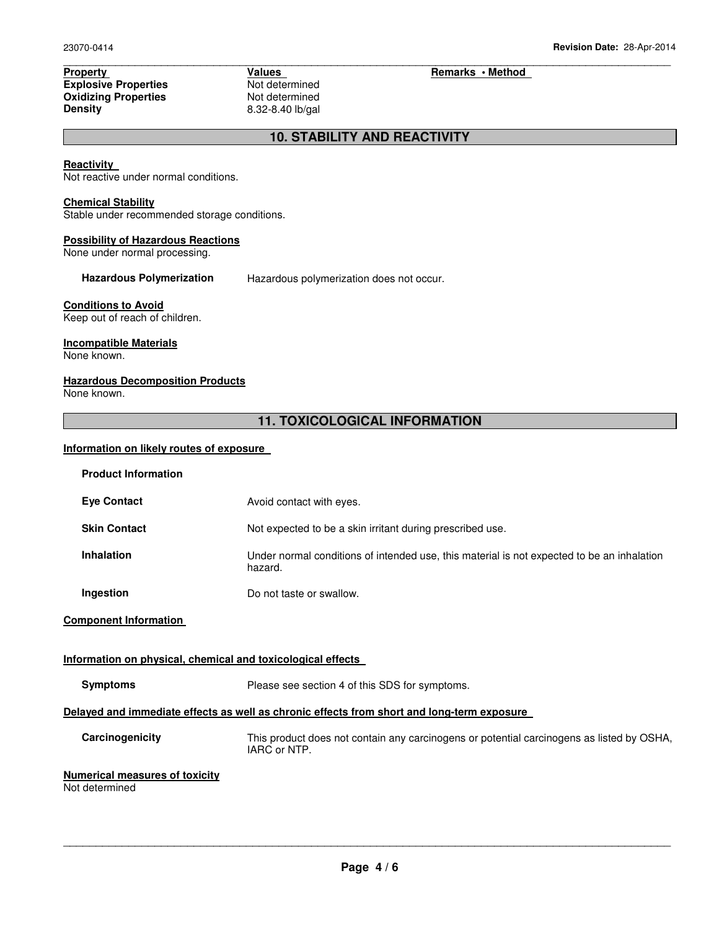**Property Values Values Property Fermined Explosive Properties Algorithms** Theorem Remarks • Method **Explosive Properties** Algorithms and *Not* determined **Explosive Properties**<br> **Oxidizing Properties**<br>
Not determined **Oxidizing Properties<br>Density** 

**Density** 8.32-8.40 lb/gal

## **10. STABILITY AND REACTIVITY**

\_\_\_\_\_\_\_\_\_\_\_\_\_\_\_\_\_\_\_\_\_\_\_\_\_\_\_\_\_\_\_\_\_\_\_\_\_\_\_\_\_\_\_\_\_\_\_\_\_\_\_\_\_\_\_\_\_\_\_\_\_\_\_\_\_\_\_\_\_\_\_\_\_\_\_\_\_\_\_\_\_\_\_\_\_\_\_\_\_\_\_\_\_

#### **Reactivity**

Not reactive under normal conditions.

## **Chemical Stability**

Stable under recommended storage conditions.

#### **Possibility of Hazardous Reactions**

None under normal processing.

**Hazardous Polymerization** Hazardous polymerization does not occur.

## **Conditions to Avoid**

Keep out of reach of children.

## **Incompatible Materials**

None known.

## **Hazardous Decomposition Products**

None known.

## **11. TOXICOLOGICAL INFORMATION**

## **Information on likely routes of exposure**

| <b>Product Information</b>                                  |                                                                                                           |  |  |
|-------------------------------------------------------------|-----------------------------------------------------------------------------------------------------------|--|--|
| <b>Eye Contact</b>                                          | Avoid contact with eyes.                                                                                  |  |  |
| <b>Skin Contact</b>                                         | Not expected to be a skin irritant during prescribed use.                                                 |  |  |
| <b>Inhalation</b>                                           | Under normal conditions of intended use, this material is not expected to be an inhalation<br>hazard.     |  |  |
| Ingestion                                                   | Do not taste or swallow.                                                                                  |  |  |
| <b>Component Information</b>                                |                                                                                                           |  |  |
| Information on physical, chemical and toxicological effects |                                                                                                           |  |  |
| <b>Symptoms</b>                                             | Please see section 4 of this SDS for symptoms.                                                            |  |  |
|                                                             | Delayed and immediate effects as well as chronic effects from short and long-term exposure                |  |  |
| Carcinogenicity                                             | This product does not contain any carcinogens or potential carcinogens as listed by OSHA,<br>IARC or NTP. |  |  |
| <b>Numerical measures of toxicity</b><br>Not determined     |                                                                                                           |  |  |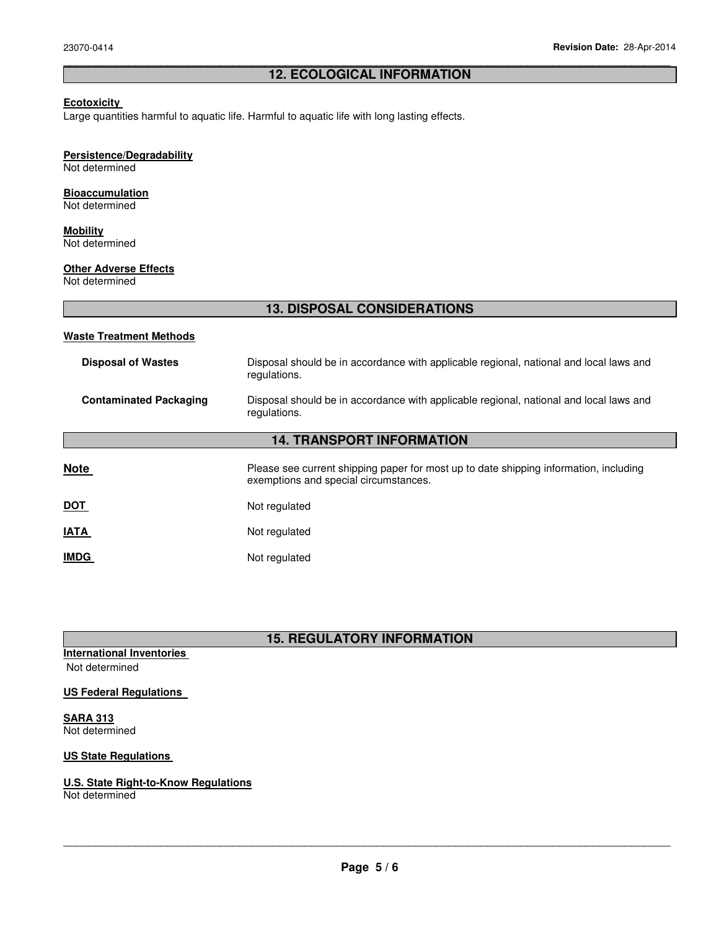## \_\_\_\_\_\_\_\_\_\_\_\_\_\_\_\_\_\_\_\_\_\_\_\_\_\_\_\_\_\_\_\_\_\_\_\_\_\_\_\_\_\_\_\_\_\_\_\_\_\_\_\_\_\_\_\_\_\_\_\_\_\_\_\_\_\_\_\_\_\_\_\_\_\_\_\_\_\_\_\_\_\_\_\_\_\_\_\_\_\_\_\_\_ **12. ECOLOGICAL INFORMATION**

## **Ecotoxicity**

Large quantities harmful to aquatic life. Harmful to aquatic life with long lasting effects.

## **Persistence/Degradability**

Not determined

# **Bioaccumulation**

Not determined

#### **Mobility** Not determined

**Other Adverse Effects**

Not determined

## **13. DISPOSAL CONSIDERATIONS**

## **Waste Treatment Methods**

| <b>Disposal of Wastes</b>        | Disposal should be in accordance with applicable regional, national and local laws and<br>regulations. |  |
|----------------------------------|--------------------------------------------------------------------------------------------------------|--|
| <b>Contaminated Packaging</b>    | Disposal should be in accordance with applicable regional, national and local laws and<br>regulations. |  |
| <b>14. TRANSPORT INFORMATION</b> |                                                                                                        |  |

| <b>Note</b> | Please see current shipping paper for most up to date shipping information, including<br>exemptions and special circumstances. |  |  |
|-------------|--------------------------------------------------------------------------------------------------------------------------------|--|--|
| <u>DOT</u>  | Not regulated                                                                                                                  |  |  |
| <b>IATA</b> | Not regulated                                                                                                                  |  |  |
| <b>IMDG</b> | Not regulated                                                                                                                  |  |  |

# **15. REGULATORY INFORMATION**

**International Inventories** 

Not determined

## **US Federal Regulations**

**SARA 313** Not determined

## **US State Regulations**

## **U.S. State Right-to-Know Regulations**

Not determined